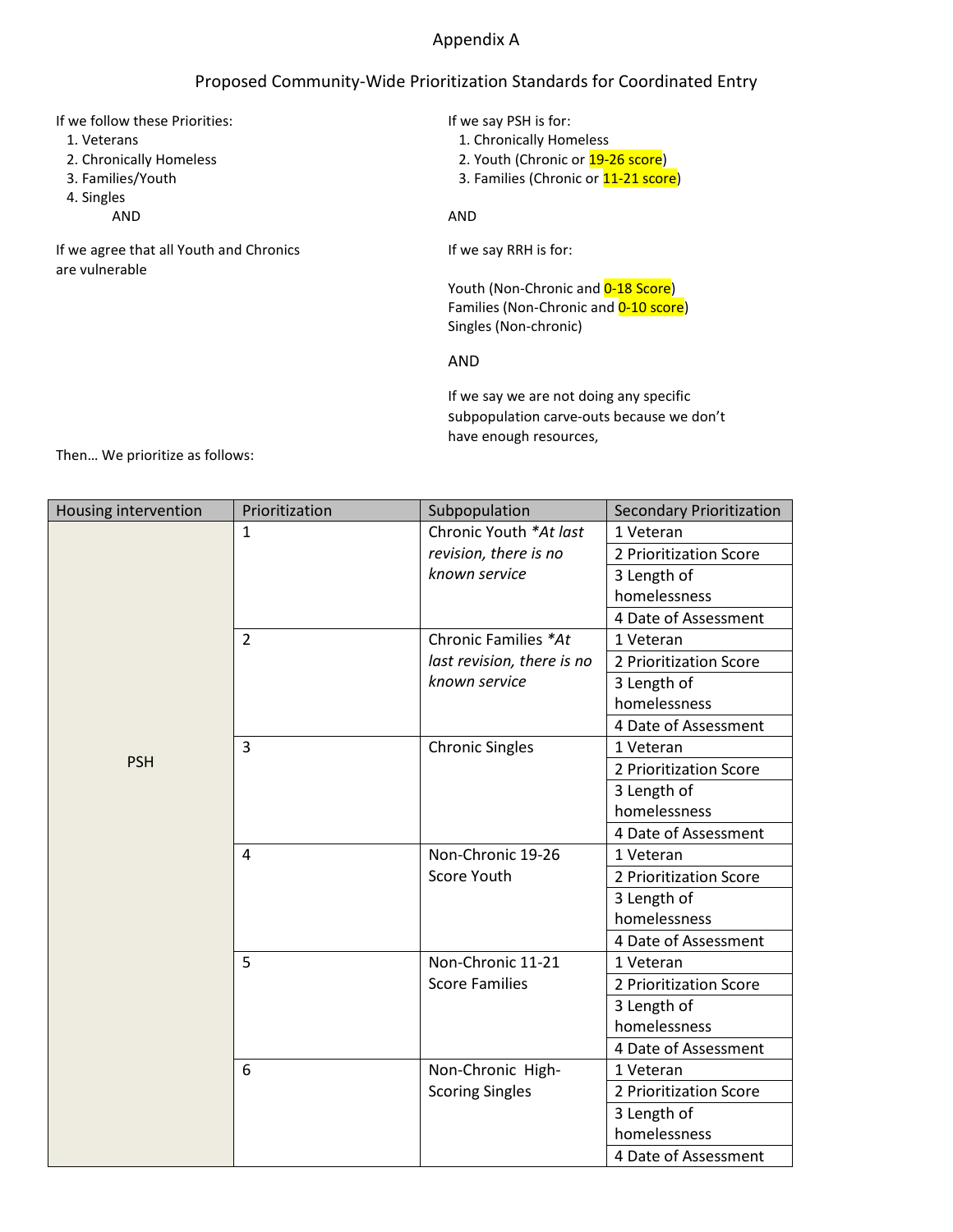## Appendix A

## Proposed Community-Wide Prioritization Standards for Coordinated Entry

| If we follow these Priorities:                            | If we say PSH is for:                 |  |  |
|-----------------------------------------------------------|---------------------------------------|--|--|
| 1. Veterans                                               | 1. Chronically Homeless               |  |  |
| 2. Chronically Homeless                                   | 2. Youth (Chronic or 19-26 score)     |  |  |
| 3. Families/Youth                                         | 3. Families (Chronic or 11-21 score)  |  |  |
| 4. Singles                                                |                                       |  |  |
| AND                                                       | AND                                   |  |  |
| If we agree that all Youth and Chronics<br>are vulnerable | If we say RRH is for:                 |  |  |
|                                                           | Youth (Non-Chronic and 0-18 Score)    |  |  |
|                                                           | Families (Non-Chronic and 0-10 score) |  |  |
|                                                           | Singles (Non-chronic)                 |  |  |
|                                                           | AND                                   |  |  |
|                                                           |                                       |  |  |

If we say we are not doing any specific subpopulation carve-outs because we don't have enough resources,

Then… We prioritize as follows:

| Housing intervention | Prioritization | Subpopulation              | <b>Secondary Prioritization</b> |
|----------------------|----------------|----------------------------|---------------------------------|
|                      | $\mathbf{1}$   | Chronic Youth *At last     | 1 Veteran                       |
|                      |                | revision, there is no      | 2 Prioritization Score          |
|                      |                | known service              | 3 Length of                     |
|                      |                |                            | homelessness                    |
|                      |                |                            | 4 Date of Assessment            |
|                      | $\overline{2}$ | Chronic Families *At       | 1 Veteran                       |
|                      |                | last revision, there is no | 2 Prioritization Score          |
|                      |                | known service              | 3 Length of                     |
|                      |                |                            | homelessness                    |
|                      |                |                            | 4 Date of Assessment            |
|                      | $\overline{3}$ | <b>Chronic Singles</b>     | 1 Veteran                       |
| <b>PSH</b>           |                |                            | 2 Prioritization Score          |
|                      |                |                            | 3 Length of                     |
|                      |                |                            | homelessness                    |
|                      |                |                            | 4 Date of Assessment            |
|                      | 4              | Non-Chronic 19-26          | 1 Veteran                       |
|                      |                | Score Youth                | 2 Prioritization Score          |
|                      |                |                            | 3 Length of                     |
|                      |                |                            | homelessness                    |
|                      |                |                            | 4 Date of Assessment            |
|                      | 5              | Non-Chronic 11-21          | 1 Veteran                       |
|                      |                | <b>Score Families</b>      | 2 Prioritization Score          |
|                      |                |                            | 3 Length of                     |
|                      |                |                            | homelessness                    |
|                      |                |                            | 4 Date of Assessment            |
|                      | 6              | Non-Chronic High-          | 1 Veteran                       |
|                      |                | <b>Scoring Singles</b>     | 2 Prioritization Score          |
|                      |                |                            | 3 Length of                     |
|                      |                |                            | homelessness                    |
|                      |                |                            | 4 Date of Assessment            |